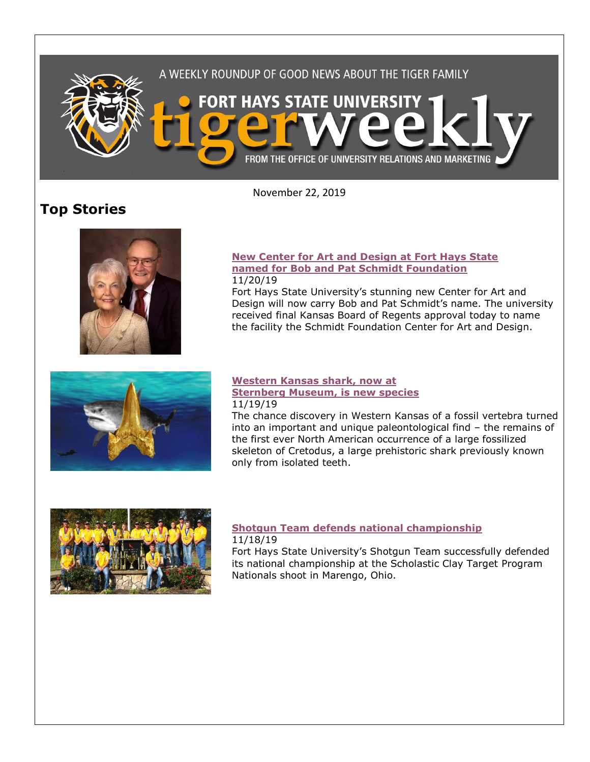

November 22, 2019

# **Top Stories**



#### **[New Center for Art and Design at Fort Hays State](https://www.fhsu.edu/news/2019/11/new-center-for-art-and-design-at-fort-hays-state-named-for-bob-and-pat-schmidt-foundation)  [named for Bob and Pat Schmidt Foundation](https://www.fhsu.edu/news/2019/11/new-center-for-art-and-design-at-fort-hays-state-named-for-bob-and-pat-schmidt-foundation)** 11/20/19

Fort Hays State University's stunning new Center for Art and Design will now carry Bob and Pat Schmidt's name. The university received final Kansas Board of Regents approval today to name the facility the Schmidt Foundation Center for Art and Design.



### **[Western Kansas shark, now at](https://www.fhsu.edu/news/2019/11/western-kansas-shark,-now-at-sternberg-museum,-is-new-species)  [Sternberg Museum, is new species](https://www.fhsu.edu/news/2019/11/western-kansas-shark,-now-at-sternberg-museum,-is-new-species)** 11/19/19

The chance discovery in Western Kansas of a fossil vertebra turned into an important and unique paleontological find – the remains of the first ever North American occurrence of a large fossilized skeleton of Cretodus, a large prehistoric shark previously known only from isolated teeth.



## **[Shotgun Team defends national championship](https://www.fhsu.edu/news/2019/11/fhsus-shotgun-team-defends-national-championship)** 11/18/19

Fort Hays State University's Shotgun Team successfully defended its national championship at the Scholastic Clay Target Program Nationals shoot in Marengo, Ohio.